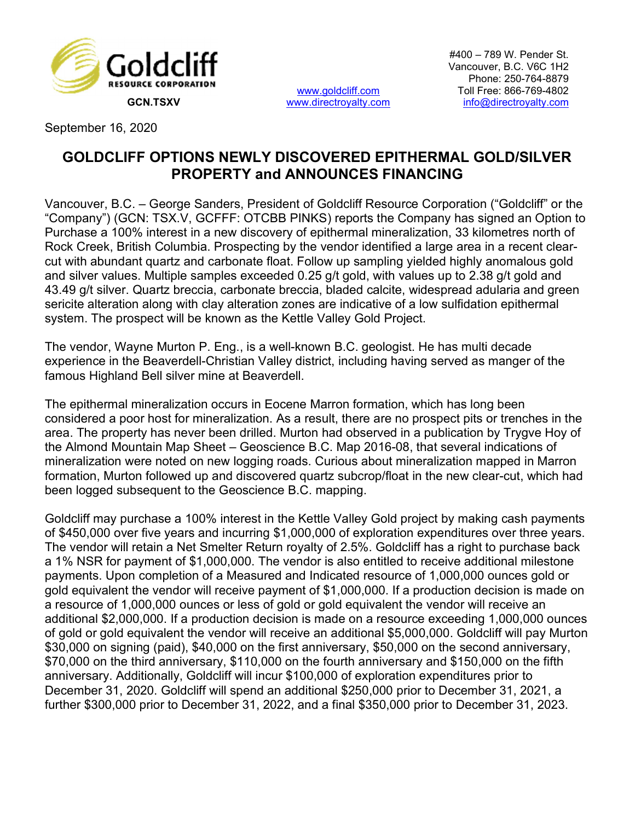

www.goldcliff.com

#400 – 789 W. Pender St. Vancouver, B.C. V6C 1H2 Phone: 250-764-8879 Toll Free: 866-769-4802 GCN.TSXV www.directroyalty.com info@directroyalty.com

September 16, 2020

## GOLDCLIFF OPTIONS NEWLY DISCOVERED EPITHERMAL GOLD/SILVER PROPERTY and ANNOUNCES FINANCING

Vancouver, B.C. – George Sanders, President of Goldcliff Resource Corporation ("Goldcliff" or the "Company") (GCN: TSX.V, GCFFF: OTCBB PINKS) reports the Company has signed an Option to Purchase a 100% interest in a new discovery of epithermal mineralization, 33 kilometres north of Rock Creek, British Columbia. Prospecting by the vendor identified a large area in a recent clearcut with abundant quartz and carbonate float. Follow up sampling yielded highly anomalous gold and silver values. Multiple samples exceeded 0.25 g/t gold, with values up to 2.38 g/t gold and 43.49 g/t silver. Quartz breccia, carbonate breccia, bladed calcite, widespread adularia and green sericite alteration along with clay alteration zones are indicative of a low sulfidation epithermal system. The prospect will be known as the Kettle Valley Gold Project.

The vendor, Wayne Murton P. Eng., is a well-known B.C. geologist. He has multi decade experience in the Beaverdell-Christian Valley district, including having served as manger of the famous Highland Bell silver mine at Beaverdell.

The epithermal mineralization occurs in Eocene Marron formation, which has long been considered a poor host for mineralization. As a result, there are no prospect pits or trenches in the area. The property has never been drilled. Murton had observed in a publication by Trygve Hoy of the Almond Mountain Map Sheet – Geoscience B.C. Map 2016-08, that several indications of mineralization were noted on new logging roads. Curious about mineralization mapped in Marron formation, Murton followed up and discovered quartz subcrop/float in the new clear-cut, which had been logged subsequent to the Geoscience B.C. mapping.

Goldcliff may purchase a 100% interest in the Kettle Valley Gold project by making cash payments of \$450,000 over five years and incurring \$1,000,000 of exploration expenditures over three years. The vendor will retain a Net Smelter Return royalty of 2.5%. Goldcliff has a right to purchase back a 1% NSR for payment of \$1,000,000. The vendor is also entitled to receive additional milestone payments. Upon completion of a Measured and Indicated resource of 1,000,000 ounces gold or gold equivalent the vendor will receive payment of \$1,000,000. If a production decision is made on a resource of 1,000,000 ounces or less of gold or gold equivalent the vendor will receive an additional \$2,000,000. If a production decision is made on a resource exceeding 1,000,000 ounces of gold or gold equivalent the vendor will receive an additional \$5,000,000. Goldcliff will pay Murton \$30,000 on signing (paid), \$40,000 on the first anniversary, \$50,000 on the second anniversary, \$70,000 on the third anniversary, \$110,000 on the fourth anniversary and \$150,000 on the fifth anniversary. Additionally, Goldcliff will incur \$100,000 of exploration expenditures prior to December 31, 2020. Goldcliff will spend an additional \$250,000 prior to December 31, 2021, a further \$300,000 prior to December 31, 2022, and a final \$350,000 prior to December 31, 2023.